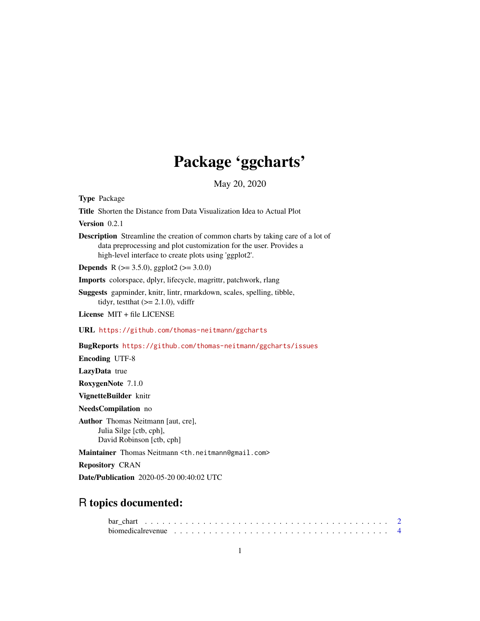# Package 'ggcharts'

May 20, 2020

Type Package Title Shorten the Distance from Data Visualization Idea to Actual Plot Version 0.2.1 Description Streamline the creation of common charts by taking care of a lot of data preprocessing and plot customization for the user. Provides a high-level interface to create plots using 'ggplot2'. **Depends** R ( $>= 3.5.0$ ), ggplot2 ( $>= 3.0.0$ ) Imports colorspace, dplyr, lifecycle, magrittr, patchwork, rlang Suggests gapminder, knitr, lintr, rmarkdown, scales, spelling, tibble, tidyr, testthat  $(>= 2.1.0)$ , vdiffr License MIT + file LICENSE URL <https://github.com/thomas-neitmann/ggcharts> BugReports <https://github.com/thomas-neitmann/ggcharts/issues> Encoding UTF-8 LazyData true RoxygenNote 7.1.0 VignetteBuilder knitr NeedsCompilation no Author Thomas Neitmann [aut, cre], Julia Silge [ctb, cph], David Robinson [ctb, cph] Maintainer Thomas Neitmann <th.neitmann@gmail.com> Repository CRAN

Date/Publication 2020-05-20 00:40:02 UTC

# R topics documented:

| biomedical revenue $\ldots \ldots \ldots \ldots \ldots \ldots \ldots \ldots \ldots \ldots \ldots \ldots$ |  |  |  |  |  |  |  |  |  |  |  |  |  |  |  |  |  |  |  |  |
|----------------------------------------------------------------------------------------------------------|--|--|--|--|--|--|--|--|--|--|--|--|--|--|--|--|--|--|--|--|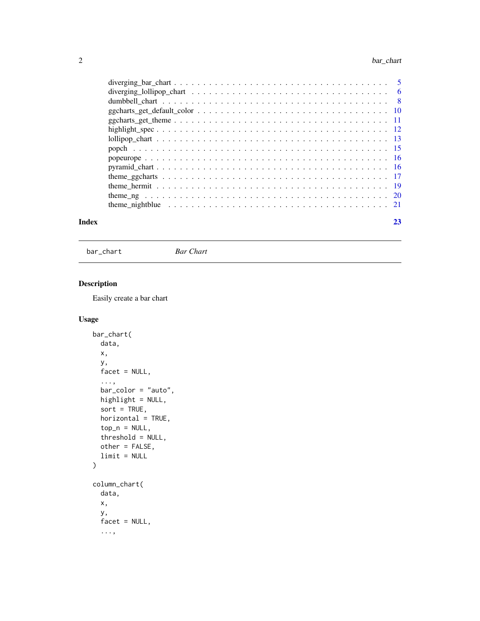#### <span id="page-1-0"></span>2 bar\_chart control bar\_chart control bar\_chart control bar\_chart control bar\_chart control bar\_chart control bar\_chart control bar\_chart control bar\_chart control bar\_chart control bar\_chart control bar\_chart control bar\_

| Index | 23 |
|-------|----|

bar\_chart *Bar Chart*

# Description

Easily create a bar chart

# Usage

```
bar_chart(
  data,
 x,
 y,
 facet = NULL,
  ...,
 bar_color = "auto",
 highlight = NULL,
  sort = TRUE,horizontal = TRUE,
  top_n = NULL,threshold = NULL,
  other = FALSE,
  limit = NULL
)
column_chart(
  data,
  x,
  y,
  facet = NULL,
  ...,
```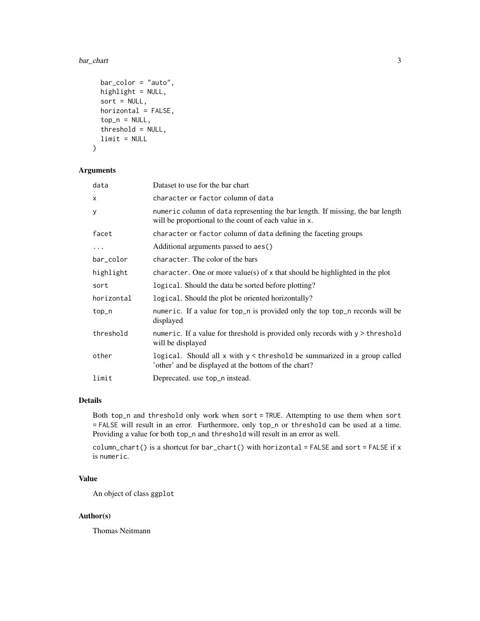#### bar\_chart 3

```
bar_color = "auto",highlight = NULL,
  sort = NULL,horizontal = FALSE,
  top_n = NULL,threshold = NULL,
  limit = NULL
\mathcal{L}
```
# Arguments

| data       | Dataset to use for the bar chart                                                                                                        |
|------------|-----------------------------------------------------------------------------------------------------------------------------------------|
| X          | character or factor column of data                                                                                                      |
| у          | numeric column of data representing the bar length. If missing, the bar length<br>will be proportional to the count of each value in x. |
| facet      | character or factor column of data defining the faceting groups                                                                         |
| .          | Additional arguments passed to aes()                                                                                                    |
| bar_color  | character. The color of the bars                                                                                                        |
| highlight  | character. One or more value(s) of $x$ that should be highlighted in the plot                                                           |
| sort       | logical. Should the data be sorted before plotting?                                                                                     |
| horizontal | logical. Should the plot be oriented horizontally?                                                                                      |
| top_n      | numeric. If a value for top_n is provided only the top top_n records will be<br>displayed                                               |
| threshold  | numeric. If a value for threshold is provided only records with $y >$ threshold<br>will be displayed                                    |
| other      | logical. Should all $x$ with $y <$ threshold be summarized in a group called<br>'other' and be displayed at the bottom of the chart?    |
| limit      | Deprecated. use top_n instead.                                                                                                          |

# Details

Both top\_n and threshold only work when sort = TRUE. Attempting to use them when sort = FALSE will result in an error. Furthermore, only top\_n or threshold can be used at a time. Providing a value for both top\_n and threshold will result in an error as well.

column\_chart() is a shortcut for bar\_chart() with horizontal = FALSE and sort = FALSE if x is numeric.

# Value

An object of class ggplot

#### Author(s)

Thomas Neitmann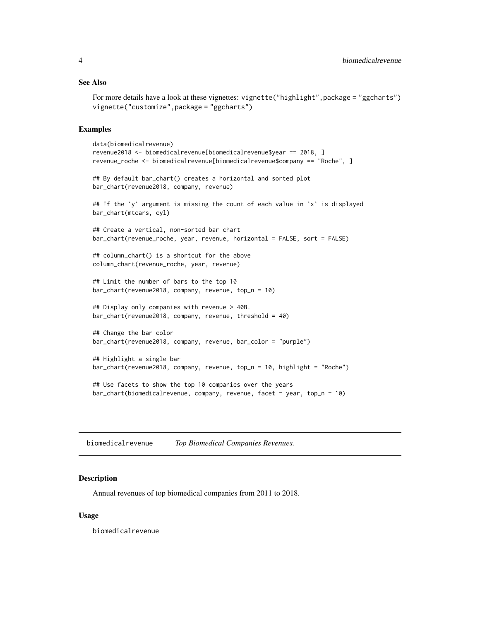#### <span id="page-3-0"></span>See Also

```
For more details have a look at these vignettes: vignette("highlight", package = "ggcharts")
vignette("customize",package = "ggcharts")
```
# Examples

```
data(biomedicalrevenue)
revenue2018 <- biomedicalrevenue[biomedicalrevenue$year == 2018, ]
revenue_roche <- biomedicalrevenue[biomedicalrevenue$company == "Roche", ]
## By default bar_chart() creates a horizontal and sorted plot
bar_chart(revenue2018, company, revenue)
## If the `y` argument is missing the count of each value in `x` is displayed
bar_chart(mtcars, cyl)
## Create a vertical, non-sorted bar chart
bar_chart(revenue_roche, year, revenue, horizontal = FALSE, sort = FALSE)
## column_chart() is a shortcut for the above
column_chart(revenue_roche, year, revenue)
## Limit the number of bars to the top 10
bar_chart(revenue2018, company, revenue, top_n = 10)
## Display only companies with revenue > 40B.
bar_chart(revenue2018, company, revenue, threshold = 40)
## Change the bar color
bar_chart(revenue2018, company, revenue, bar_color = "purple")
## Highlight a single bar
bar_chart(revenue2018, company, revenue, top_n = 10, highlight = "Roche")
## Use facets to show the top 10 companies over the years
bar_chart(biomedicalrevenue, company, revenue, facet = year, top_n = 10)
```
biomedicalrevenue *Top Biomedical Companies Revenues.*

#### Description

Annual revenues of top biomedical companies from 2011 to 2018.

#### Usage

biomedicalrevenue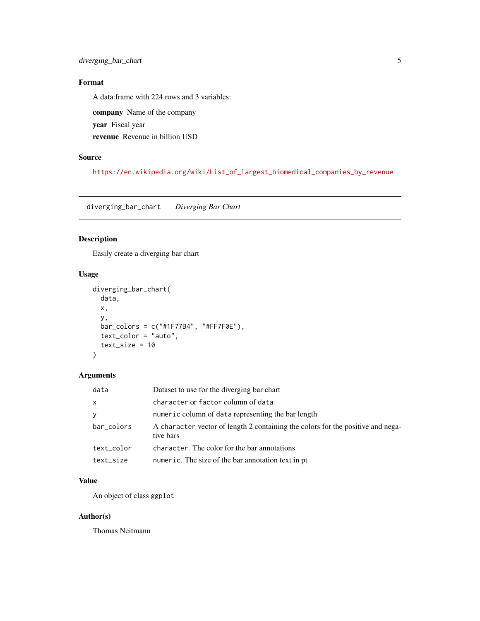# <span id="page-4-0"></span>Format

A data frame with 224 rows and 3 variables:

company Name of the company

year Fiscal year

revenue Revenue in billion USD

# Source

[https://en.wikipedia.org/wiki/List\\_of\\_largest\\_biomedical\\_companies\\_by\\_revenue](https://en.wikipedia.org/wiki/List_of_largest_biomedical_companies_by_revenue)

diverging\_bar\_chart *Diverging Bar Chart*

# Description

Easily create a diverging bar chart

# Usage

```
diverging_bar_chart(
  data,
  x,
  y,
  bar\_colors = c("#1F77B4", "#FF7F0E"),text_color = "auto",
  text_size = 10\mathcal{L}
```
# Arguments

| data         | Dataset to use for the diverging bar chart                                                   |
|--------------|----------------------------------------------------------------------------------------------|
| $\mathsf{x}$ | character or factor column of data                                                           |
| <b>V</b>     | numeric column of data representing the bar length                                           |
| bar_colors   | A character vector of length 2 containing the colors for the positive and nega-<br>tive bars |
| text_color   | character. The color for the bar annotations                                                 |
| text_size    | numeric. The size of the bar annotation text in pt                                           |

# Value

An object of class ggplot

# Author(s)

Thomas Neitmann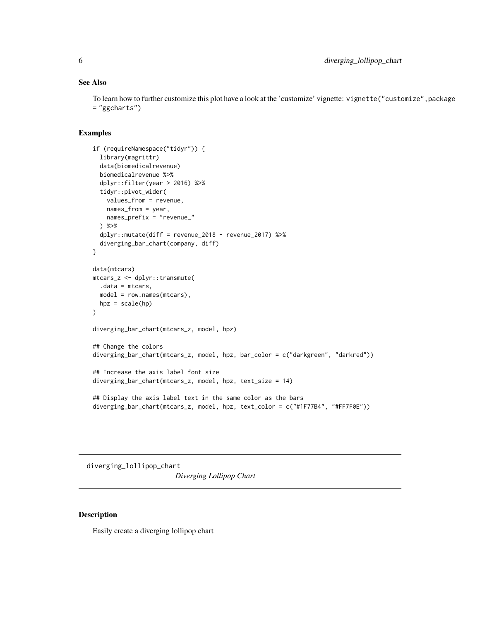# <span id="page-5-0"></span>See Also

To learn how to further customize this plot have a look at the 'customize' vignette: vignette("customize",package = "ggcharts")

# Examples

```
if (requireNamespace("tidyr")) {
  library(magrittr)
  data(biomedicalrevenue)
  biomedicalrevenue %>%
  dplyr::filter(year > 2016) %>%
  tidyr::pivot_wider(
   values_from = revenue,
   names_from = year,
   names_prefix = "revenue_"
  ) %>%
  dplyr::mutate(diff = revenue_2018 - revenue_2017) %>%
  diverging_bar_chart(company, diff)
}
data(mtcars)
mtcars_z <- dplyr::transmute(
  .data = mtcars,
 model = row.names(mtcars),
 hpz = scale(hp))
diverging_bar_chart(mtcars_z, model, hpz)
## Change the colors
diverging_bar_chart(mtcars_z, model, hpz, bar_color = c("darkgreen", "darkred"))
## Increase the axis label font size
diverging_bar_chart(mtcars_z, model, hpz, text_size = 14)
## Display the axis label text in the same color as the bars
diverging_bar_chart(mtcars_z, model, hpz, text_color = c("#1F77B4", "#FF7F0E"))
```
diverging\_lollipop\_chart *Diverging Lollipop Chart*

#### Description

Easily create a diverging lollipop chart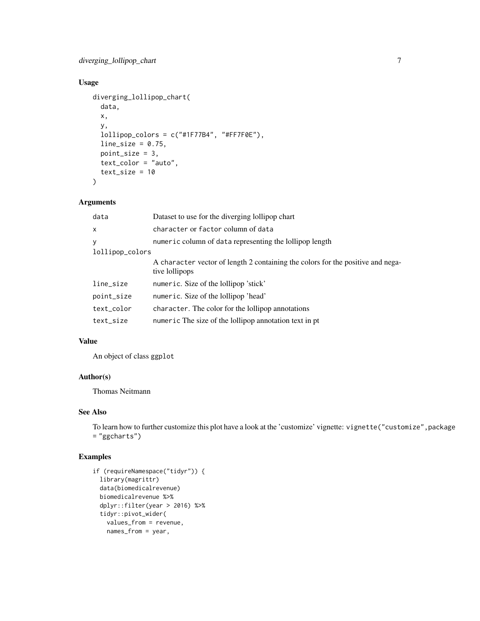# Usage

```
diverging_lollipop_chart(
 data,
  x,
  y,
  lollipop_colors = c("#1F77B4", "#FF7F0E"),
 line\_size = 0.75,
 point_size = 3,
  text_color = "auto",
  text_size = 10
\mathcal{L}
```
# Arguments

| data            | Dataset to use for the diverging lollipop chart                                                   |
|-----------------|---------------------------------------------------------------------------------------------------|
| $\mathsf{x}$    | character or factor column of data                                                                |
| У               | numeric column of data representing the lollipop length                                           |
| lollipop_colors |                                                                                                   |
|                 | A character vector of length 2 containing the colors for the positive and nega-<br>tive lollipops |
| line_size       | numeric. Size of the lollipop 'stick'                                                             |
| point_size      | numeric. Size of the lollipop 'head'                                                              |
| text_color      | character. The color for the lollipop annotations                                                 |
| text_size       | numeric The size of the lollipop annotation text in pt                                            |

# Value

An object of class ggplot

#### Author(s)

Thomas Neitmann

# See Also

To learn how to further customize this plot have a look at the 'customize' vignette: vignette("customize",package = "ggcharts")

```
if (requireNamespace("tidyr")) {
 library(magrittr)
 data(biomedicalrevenue)
 biomedicalrevenue %>%
 dplyr::filter(year > 2016) %>%
 tidyr::pivot_wider(
   values_from = revenue,
   names_from = year,
```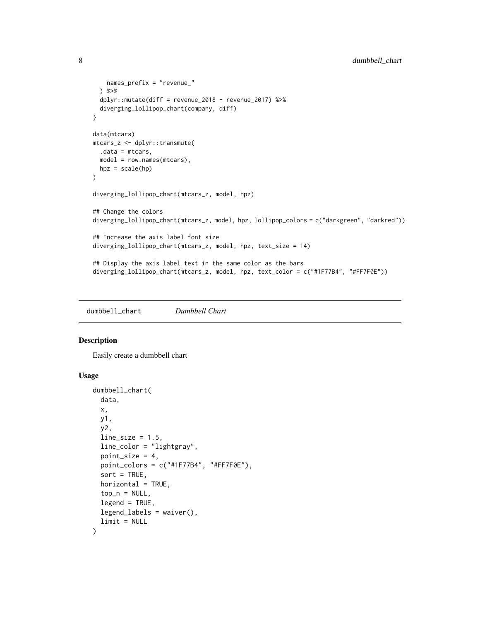```
names_prefix = "revenue_"
  ) %>%
  dplyr::mutate(diff = revenue_2018 - revenue_2017) %>%
  diverging_lollipop_chart(company, diff)
}
data(mtcars)
mtcars_z <- dplyr::transmute(
  .data = mtcars,
  model = row.names(mtcars),
 hpz = scale(hp)\mathcal{L}diverging_lollipop_chart(mtcars_z, model, hpz)
## Change the colors
diverging_lollipop_chart(mtcars_z, model, hpz, lollipop_colors = c("darkgreen", "darkred"))
## Increase the axis label font size
diverging_lollipop_chart(mtcars_z, model, hpz, text_size = 14)
## Display the axis label text in the same color as the bars
diverging_lollipop_chart(mtcars_z, model, hpz, text_color = c("#1F77B4", "#FF7F0E"))
```
dumbbell\_chart *Dumbbell Chart*

### Description

Easily create a dumbbell chart

#### Usage

```
dumbbell_chart(
 data,
 x,
 y1,
 y2,
 line\_size = 1.5,
 line_color = "lightgray",
 point_size = 4,
 point_colors = c("#1F77B4", "#FF7F0E"),
  sort = TRUE,horizontal = TRUE,
  top_n = NULL,legend = TRUE,legend_labels = waiver(),
  limit = NULL
)
```
<span id="page-7-0"></span>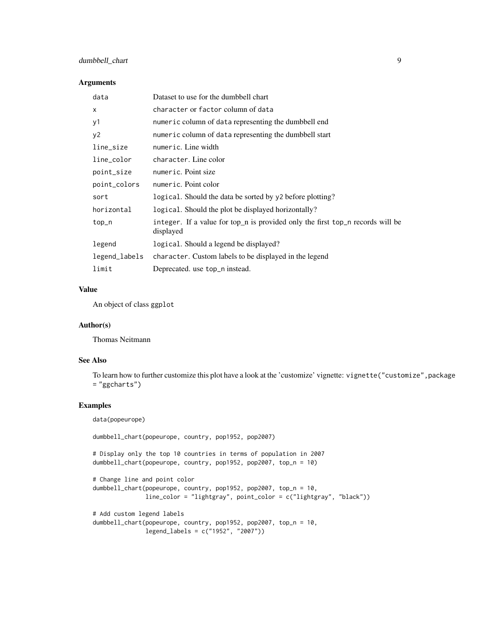# dumbbell\_chart 9

#### Arguments

| Dataset to use for the dumbbell chart                                                       |
|---------------------------------------------------------------------------------------------|
| character or factor column of data                                                          |
| numeric column of data representing the dumbbell end                                        |
| numeric column of data representing the dumbbell start                                      |
| numeric. Line width                                                                         |
| character. Line color                                                                       |
| numeric. Point size                                                                         |
| numeric. Point color                                                                        |
| logical. Should the data be sorted by y2 before plotting?                                   |
| logical. Should the plot be displayed horizontally?                                         |
| integer. If a value for top_n is provided only the first top_n records will be<br>displayed |
| logical. Should a legend be displayed?                                                      |
| character. Custom labels to be displayed in the legend                                      |
| Deprecated. use top_n instead.                                                              |
|                                                                                             |

# Value

An object of class ggplot

#### Author(s)

Thomas Neitmann

#### See Also

To learn how to further customize this plot have a look at the 'customize' vignette: vignette("customize",package = "ggcharts")

# Examples

data(popeurope)

dumbbell\_chart(popeurope, country, pop1952, pop2007)

# Display only the top 10 countries in terms of population in 2007 dumbbell\_chart(popeurope, country, pop1952, pop2007, top\_n = 10)

```
# Change line and point color
dumbbell_chart(popeurope, country, pop1952, pop2007, top_n = 10,
              line_color = "lightgray", point_color = c("lightgray", "black"))
```

```
# Add custom legend labels
dumbbell_chart(popeurope, country, pop1952, pop2007, top_n = 10,
              legend_labels = c("1952", "2007"))
```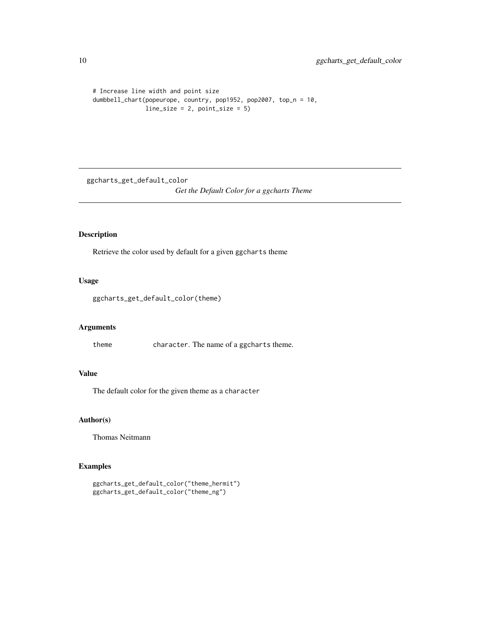```
# Increase line width and point size
dumbbell_chart(popeurope, country, pop1952, pop2007, top_n = 10,
              line_size = 2, point_size = 5)
```
ggcharts\_get\_default\_color *Get the Default Color for a ggcharts Theme*

# Description

Retrieve the color used by default for a given ggcharts theme

# Usage

```
ggcharts_get_default_color(theme)
```
# Arguments

theme character. The name of a ggcharts theme.

#### Value

The default color for the given theme as a character

# Author(s)

Thomas Neitmann

```
ggcharts_get_default_color("theme_hermit")
ggcharts_get_default_color("theme_ng")
```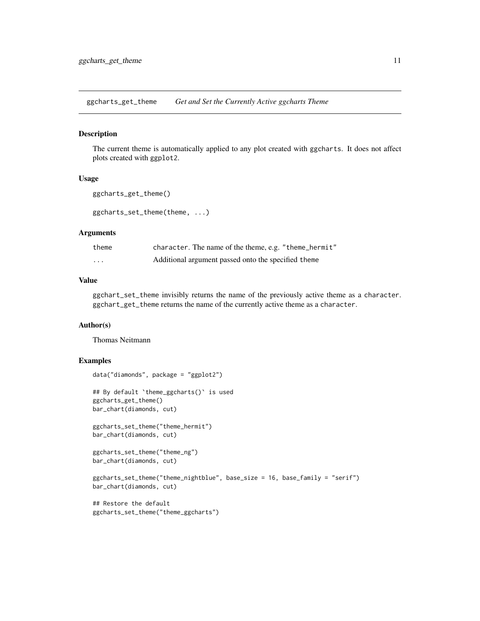<span id="page-10-0"></span>ggcharts\_get\_theme *Get and Set the Currently Active ggcharts Theme*

#### Description

The current theme is automatically applied to any plot created with ggcharts. It does not affect plots created with ggplot2.

#### Usage

```
ggcharts_get_theme()
```
ggcharts\_set\_theme(theme, ...)

#### Arguments

| theme    | character. The name of the theme, e.g. "theme_hermit" |
|----------|-------------------------------------------------------|
| $\cdots$ | Additional argument passed onto the specified theme   |

#### Value

ggchart\_set\_theme invisibly returns the name of the previously active theme as a character. ggchart\_get\_theme returns the name of the currently active theme as a character.

#### Author(s)

Thomas Neitmann

```
data("diamonds", package = "ggplot2")
## By default `theme_ggcharts()` is used
ggcharts_get_theme()
bar_chart(diamonds, cut)
ggcharts_set_theme("theme_hermit")
bar_chart(diamonds, cut)
ggcharts_set_theme("theme_ng")
bar_chart(diamonds, cut)
ggcharts_set_theme("theme_nightblue", base_size = 16, base_family = "serif")
bar_chart(diamonds, cut)
## Restore the default
ggcharts_set_theme("theme_ggcharts")
```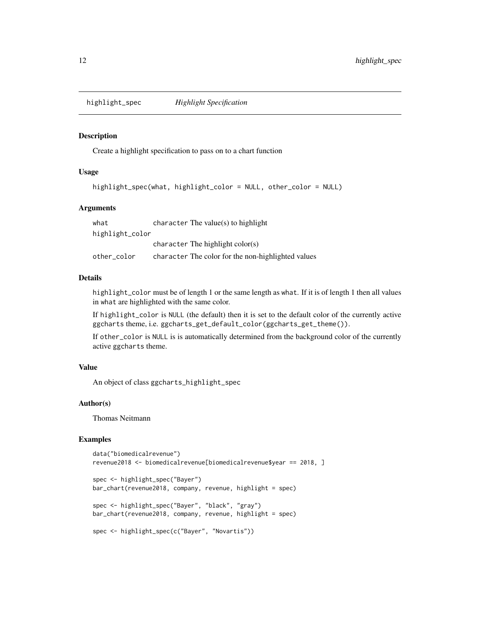<span id="page-11-0"></span>highlight\_spec *Highlight Specification*

#### Description

Create a highlight specification to pass on to a chart function

# Usage

```
highlight_spec(what, highlight_color = NULL, other_color = NULL)
```
#### Arguments

| what            | character The value $(s)$ to highlight             |
|-----------------|----------------------------------------------------|
| highlight_color |                                                    |
|                 | character The highlight $color(s)$                 |
| other color     | character The color for the non-highlighted values |

#### Details

highlight\_color must be of length 1 or the same length as what. If it is of length 1 then all values in what are highlighted with the same color.

If highlight\_color is NULL (the default) then it is set to the default color of the currently active ggcharts theme, i.e. ggcharts\_get\_default\_color(ggcharts\_get\_theme()).

If other\_color is NULL is is automatically determined from the background color of the currently active ggcharts theme.

# Value

An object of class ggcharts\_highlight\_spec

#### Author(s)

Thomas Neitmann

```
data("biomedicalrevenue")
revenue2018 <- biomedicalrevenue[biomedicalrevenue$year == 2018, ]
spec <- highlight_spec("Bayer")
bar_chart(revenue2018, company, revenue, highlight = spec)
spec <- highlight_spec("Bayer", "black", "gray")
bar_chart(revenue2018, company, revenue, highlight = spec)
spec <- highlight_spec(c("Bayer", "Novartis"))
```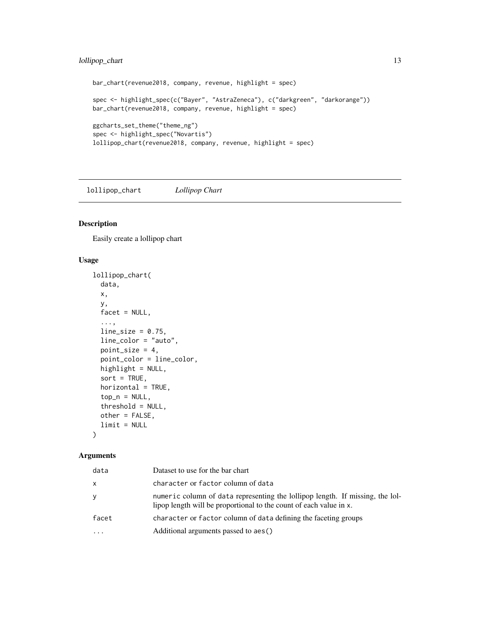# <span id="page-12-0"></span>lollipop\_chart 13

```
bar_chart(revenue2018, company, revenue, highlight = spec)
spec <- highlight_spec(c("Bayer", "AstraZeneca"), c("darkgreen", "darkorange"))
bar_chart(revenue2018, company, revenue, highlight = spec)
ggcharts_set_theme("theme_ng")
spec <- highlight_spec("Novartis")
lollipop_chart(revenue2018, company, revenue, highlight = spec)
```
lollipop\_chart *Lollipop Chart*

# Description

Easily create a lollipop chart

#### Usage

```
lollipop_chart(
  data,
  x,
 y,
 facet = NULL,...,
  line\_size = 0.75,
  line_color = "auto",
 point_size = 4,
 point_color = line_color,
  highlight = NULL,
  sort = TRUE,horizontal = TRUE,
  top_n = NULL,threshold = NULL,
 other = FALSE,
  limit = NULL
\lambda
```
#### Arguments

| data  | Dataset to use for the bar chart                                                                                                                    |
|-------|-----------------------------------------------------------------------------------------------------------------------------------------------------|
| X     | character or factor column of data                                                                                                                  |
| y     | numeric column of data representing the lollipop length. If missing, the lol-<br>lipop length will be proportional to the count of each value in x. |
| facet | character or factor column of data defining the faceting groups                                                                                     |
|       | Additional arguments passed to aes()                                                                                                                |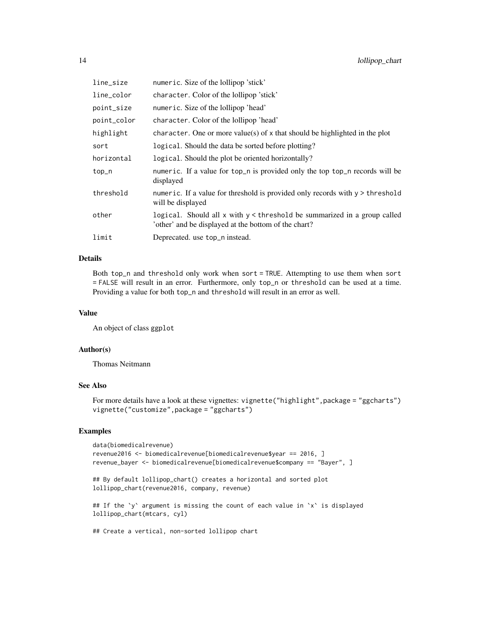| line_size   | numeric. Size of the lollipop 'stick'                                                                                            |
|-------------|----------------------------------------------------------------------------------------------------------------------------------|
| line_color  | character. Color of the lollipop 'stick'                                                                                         |
| point_size  | numeric. Size of the lollipop 'head'                                                                                             |
| point_color | character. Color of the lollipop 'head'                                                                                          |
| highlight   | character. One or more value(s) of x that should be highlighted in the plot                                                      |
| sort        | logical. Should the data be sorted before plotting?                                                                              |
| horizontal  | logical. Should the plot be oriented horizontally?                                                                               |
| top_n       | numeric. If a value for top_n is provided only the top top_n records will be<br>displayed                                        |
| threshold   | numeric. If a value for threshold is provided only records with $y >$ threshold<br>will be displayed                             |
| other       | logical. Should all x with y < threshold be summarized in a group called<br>'other' and be displayed at the bottom of the chart? |
| limit       | Deprecated. use top_n instead.                                                                                                   |

### Details

Both top\_n and threshold only work when sort = TRUE. Attempting to use them when sort = FALSE will result in an error. Furthermore, only top\_n or threshold can be used at a time. Providing a value for both top\_n and threshold will result in an error as well.

# Value

An object of class ggplot

#### Author(s)

Thomas Neitmann

#### See Also

For more details have a look at these vignettes: vignette("highlight", package = "ggcharts") vignette("customize",package = "ggcharts")

```
data(biomedicalrevenue)
revenue2016 <- biomedicalrevenue[biomedicalrevenue$year == 2016, ]
revenue_bayer <- biomedicalrevenue[biomedicalrevenue$company == "Bayer", ]
## By default lollipop_chart() creates a horizontal and sorted plot
lollipop_chart(revenue2016, company, revenue)
## If the `y` argument is missing the count of each value in `x` is displayed
lollipop_chart(mtcars, cyl)
## Create a vertical, non-sorted lollipop chart
```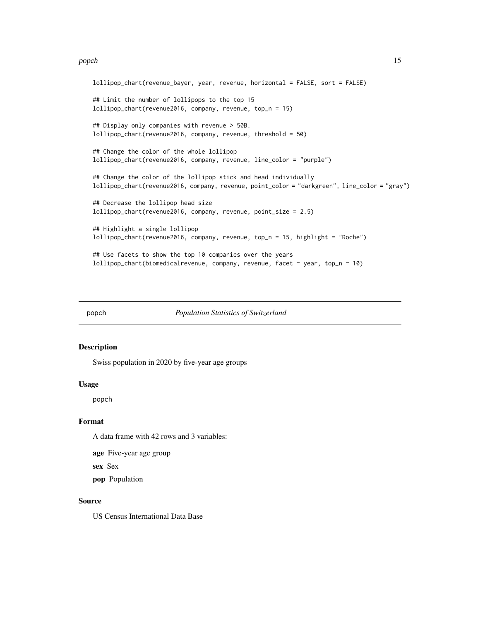#### <span id="page-14-0"></span>popch and the state of the state of the state of the state of the state of the state of the state of the state of the state of the state of the state of the state of the state of the state of the state of the state of the

```
lollipop_chart(revenue_bayer, year, revenue, horizontal = FALSE, sort = FALSE)
## Limit the number of lollipops to the top 15
lollipop_chart(revenue2016, company, revenue, top_n = 15)
## Display only companies with revenue > 50B.
lollipop_chart(revenue2016, company, revenue, threshold = 50)
## Change the color of the whole lollipop
lollipop_chart(revenue2016, company, revenue, line_color = "purple")
## Change the color of the lollipop stick and head individually
lollipop_chart(revenue2016, company, revenue, point_color = "darkgreen", line_color = "gray")
## Decrease the lollipop head size
lollipop_chart(revenue2016, company, revenue, point_size = 2.5)
## Highlight a single lollipop
lollipop_chart(revenue2016, company, revenue, top_n = 15, highlight = "Roche")
## Use facets to show the top 10 companies over the years
lollipop_chart(biomedicalrevenue, company, revenue, facet = year, top_n = 10)
```
popch *Population Statistics of Switzerland*

#### Description

Swiss population in 2020 by five-year age groups

#### Usage

popch

#### Format

A data frame with 42 rows and 3 variables:

age Five-year age group

sex Sex

pop Population

#### Source

US Census International Data Base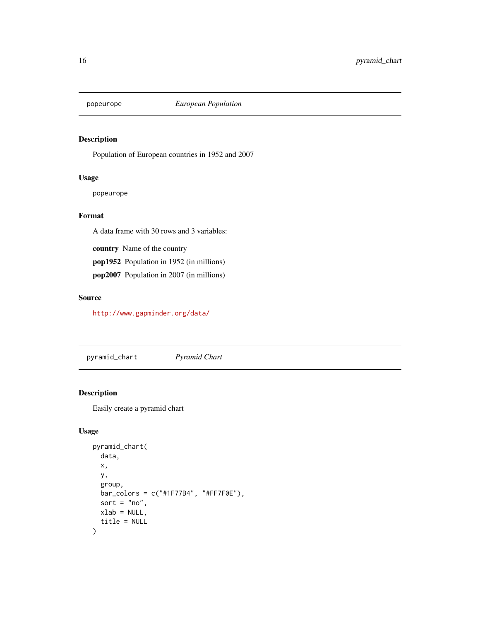<span id="page-15-0"></span>

#### Description

Population of European countries in 1952 and 2007

# Usage

popeurope

# Format

A data frame with 30 rows and 3 variables:

country Name of the country

pop1952 Population in 1952 (in millions)

pop2007 Population in 2007 (in millions)

#### Source

<http://www.gapminder.org/data/>

pyramid\_chart *Pyramid Chart*

# Description

Easily create a pyramid chart

# Usage

```
pyramid_chart(
  data,
  x,
  y,
  group,
  bar_colors = c("#1F77B4", "#FF7F0E"),
  sort = "no",
  xlab = NULL,
  title = NULL
\mathcal{E}
```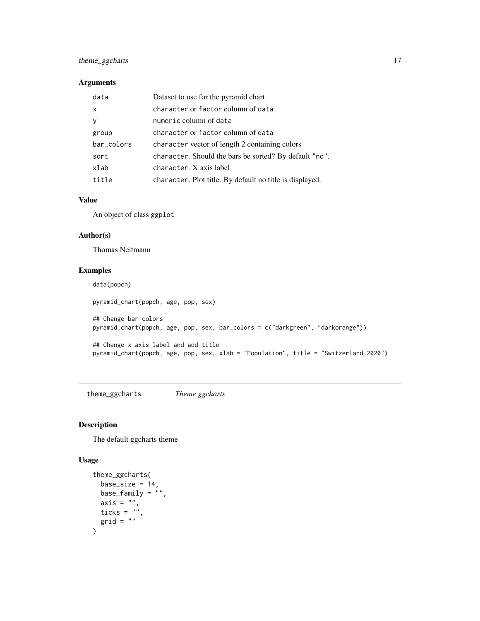# <span id="page-16-0"></span>theme\_ggcharts 17

#### Arguments

| data       | Dataset to use for the pyramid chart                     |
|------------|----------------------------------------------------------|
| x          | character or factor column of data                       |
| ٧          | numeric column of data                                   |
| group      | character or factor column of data                       |
| bar_colors | character vector of length 2 containing colors           |
| sort       | character. Should the bars be sorted? By default "no".   |
| xlab       | character. X axis label                                  |
| title      | character. Plot title. By default no title is displayed. |

#### Value

An object of class ggplot

#### Author(s)

Thomas Neitmann

# Examples

```
data(popch)
pyramid_chart(popch, age, pop, sex)
## Change bar colors
pyramid_chart(popch, age, pop, sex, bar_colors = c("darkgreen", "darkorange"))
## Change x axis label and add title
pyramid_chart(popch, age, pop, sex, xlab = "Population", title = "Switzerland 2020")
```
theme\_ggcharts *Theme ggcharts*

# Description

The default ggcharts theme

#### Usage

```
theme_ggcharts(
 base_size = 14,
 base_family = ",
 axis = "",ticks = ",
  grid = ""
\mathcal{L}
```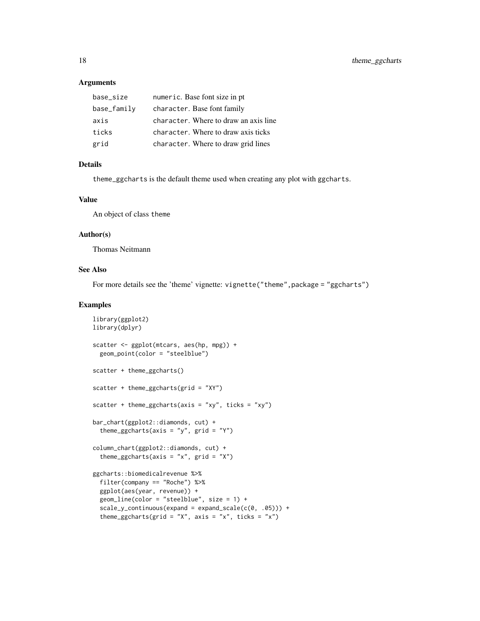#### **Arguments**

| base size   | numeric. Base font size in pt         |
|-------------|---------------------------------------|
| base_family | character. Base font family           |
| axis        | character. Where to draw an axis line |
| ticks       | character. Where to draw axis ticks   |
| grid        | character. Where to draw grid lines   |

#### Details

theme\_ggcharts is the default theme used when creating any plot with ggcharts.

#### Value

An object of class theme

#### Author(s)

Thomas Neitmann

# See Also

For more details see the 'theme' vignette: vignette("theme", package = "ggcharts")

```
library(ggplot2)
library(dplyr)
scatter <- ggplot(mtcars, aes(hp, mpg)) +
  geom_point(color = "steelblue")
scatter + theme_ggcharts()
scatter + theme_ggcharts(grid = "XY")
scatter + theme_ggcharts(axis = "xy", ticks = "xy")
bar_chart(ggplot2::diamonds, cut) +
  theme_ggcharts(axis = "y", grid = "Y")
column_chart(ggplot2::diamonds, cut) +
  theme_ggcharts(axis = "x", grid = "X")
ggcharts::biomedicalrevenue %>%
  filter(company == "Roche") %>%
  ggplot(aes(year, revenue)) +
  geom_line(color = "steelblue", size = 1) +
  scale_y_{continuous(expand = expand\_scale(c(0, .05))) +theme_ggcharts(grid = "X", axis = "x", ticks = "x")
```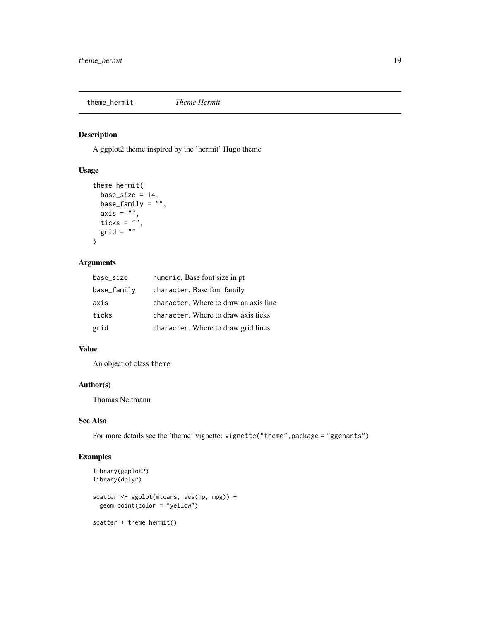<span id="page-18-0"></span>theme\_hermit *Theme Hermit*

# Description

A ggplot2 theme inspired by the 'hermit' Hugo theme

# Usage

```
theme_hermit(
 base_size = 14,
 base_family = ",
 axis = ",
  ticks = ",
  grid = ""
)
```
# Arguments

| base_size   | numeric. Base font size in pt         |
|-------------|---------------------------------------|
| base_family | character. Base font family           |
| axis        | character. Where to draw an axis line |
| ticks       | character. Where to draw axis ticks   |
| grid        | character. Where to draw grid lines   |

#### Value

An object of class theme

#### Author(s)

Thomas Neitmann

# See Also

For more details see the 'theme' vignette: vignette("theme", package = "ggcharts")

```
library(ggplot2)
library(dplyr)
scatter <- ggplot(mtcars, aes(hp, mpg)) +
  geom_point(color = "yellow")
scatter + theme_hermit()
```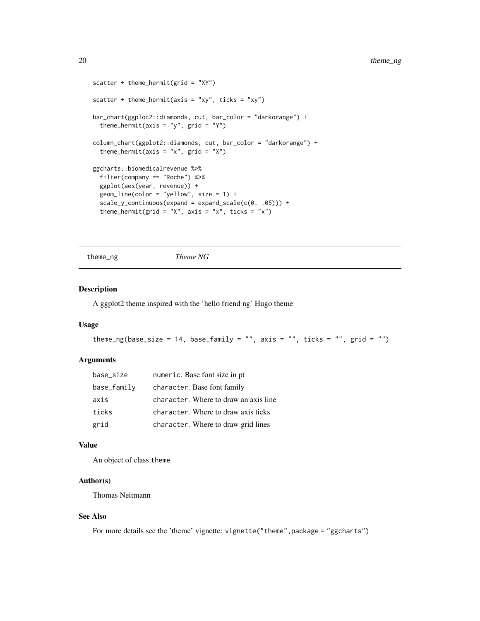```
scatter + theme_hermit(grid = "XY")scatter + theme_hermit(axis = "xy", ticks = "xy")
bar_chart(ggplot2::diamonds, cut, bar_color = "darkorange") +
 theme_hermit(axis = "y", grid = "Y")column_chart(ggplot2::diamonds, cut, bar_color = "darkorange") +
 theme_hermit(axis = "x", grid = "X")
ggcharts::biomedicalrevenue %>%
 filter(company == "Roche") %>%
 ggplot(aes(year, revenue)) +
 geom_line(color = "yellow", size = 1) +
 scale_y_{continuous(expand = expand\_scale(c(0, .05))) +theme_hermit(grid = "X", axis = "x", ticks = "x")
```
theme\_ng *Theme NG*

#### Description

A ggplot2 theme inspired with the 'hello friend ng' Hugo theme

#### Usage

```
theme_ng(base_size = 14, base_family = "", axis = "", ticks = "", grid = "")
```
#### Arguments

| base_size   | numeric. Base font size in pt         |
|-------------|---------------------------------------|
| base_family | character. Base font family           |
| axis        | character. Where to draw an axis line |
| ticks       | character. Where to draw axis ticks   |
| grid        | character. Where to draw grid lines   |

#### Value

An object of class theme

#### Author(s)

Thomas Neitmann

#### See Also

For more details see the 'theme' vignette: vignette("theme",package = "ggcharts")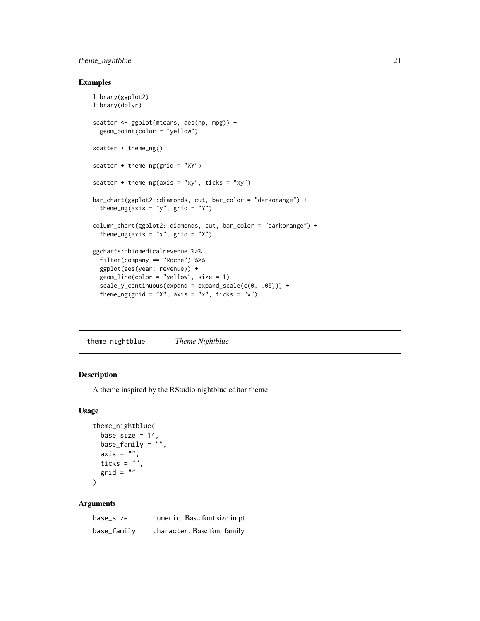# <span id="page-20-0"></span>theme\_nightblue 21

# Examples

```
library(ggplot2)
library(dplyr)
scatter <- ggplot(mtcars, aes(hp, mpg)) +
  geom_point(color = "yellow")
scatter + theme_ng()
scatter + theme_ng(grid = "XY")
scatter + theme_ng(axis = "xy", ticks = "xy")
bar_chart(ggplot2::diamonds, cut, bar_color = "darkorange") +
  theme_ng(axis = "y", grid = "Y")
column_chart(ggplot2::diamonds, cut, bar_color = "darkorange") +
  theme_ng(axis = "x", grid = "X")
ggcharts::biomedicalrevenue %>%
  filter(company == "Roche") %>%
  ggplot(aes(year, revenue)) +
  geom_line(color = "yellow", size = 1) +
  scale_y_{continuous(expand = expand\_scale(c(0, .05))) +theme_ng(grid = "X", axis = "x", ticks = "x")
```
theme\_nightblue *Theme Nightblue*

#### Description

A theme inspired by the RStudio nightblue editor theme

#### Usage

```
theme_nightblue(
  base\_size = 14,
  base_family = ",
  axis = ",
  ticks = \sum_{n=1}^{\infty}grid = ""\lambda
```
#### Arguments

| base_size   | numeric. Base font size in pt |
|-------------|-------------------------------|
| base_family | character. Base font family   |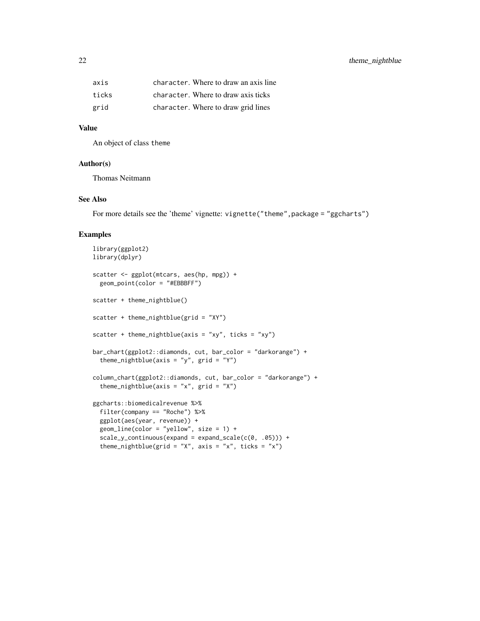| axis  | character. Where to draw an axis line |
|-------|---------------------------------------|
| ticks | character. Where to draw axis ticks   |
| grid  | character. Where to draw grid lines   |

#### Value

An object of class theme

# Author(s)

Thomas Neitmann

#### See Also

For more details see the 'theme' vignette: vignette("theme", package = "ggcharts")

```
library(ggplot2)
library(dplyr)
scatter <- ggplot(mtcars, aes(hp, mpg)) +
  geom_point(color = "#EBBBFF")
scatter + theme_nightblue()
scatter + theme_nightblue(grid = "XY")
scatter + theme_nightblue(axis = "xy", ticks = "xy")
bar_chart(ggplot2::diamonds, cut, bar_color = "darkorange") +
  theme_nightblue(axis = "y", grid = "Y")
column_chart(ggplot2::diamonds, cut, bar_color = "darkorange") +
  theme_nightblue(axis = "x", grid = "X")
ggcharts::biomedicalrevenue %>%
  filter(company == "Roche") %>%
  ggplot(aes(year, revenue)) +
  geom_line(color = "yellow", size = 1) +
  scale_y_{continuous(expand = expand\_scale(c(0, .05))) +theme_nightblue(grid = "X", axis = "x", ticks = "x")
```